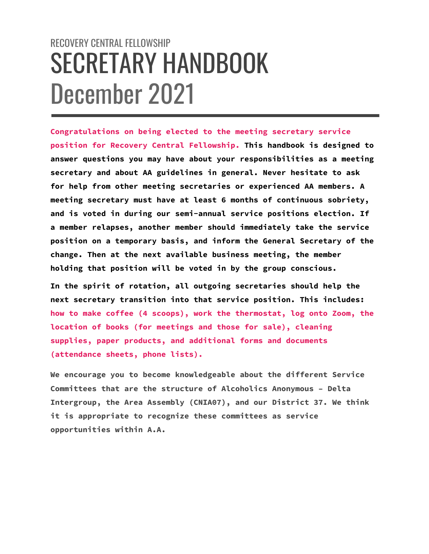# RECOVERY CENTRAL FELLOWSHIP SECRETARY HANDBOOK December 2021

**Congratulations on being elected to the meeting secretary service position for Recovery Central Fellowship. This handbook is designed to answer questions you may have about your responsibilities as a meeting secretary and about AA guidelines in general. Never hesitate to ask for help from other meeting secretaries or experienced AA members. A meeting secretary must have at least 6 months of continuous sobriety, and is voted in during our semi-annual service positions election. If a member relapses, another member should immediately take the service position on a temporary basis, and inform the General Secretary of the change. Then at the next available business meeting, the member holding that position will be voted in by the group conscious.**

**In the spirit of rotation, all outgoing secretaries should help the next secretary transition into that service position. This includes: how to make coffee (4 scoops), work the thermostat, log onto Zoom, the location of books (for meetings and those for sale), cleaning supplies, paper products, and additional forms and documents (attendance sheets, phone lists).**

**We encourage you to become knowledgeable about the different Service Committees that are the structure of Alcoholics Anonymous – Delta Intergroup, the Area Assembly (CNIA07), and our District 37. We think it is appropriate to recognize these committees as service opportunities within A.A.**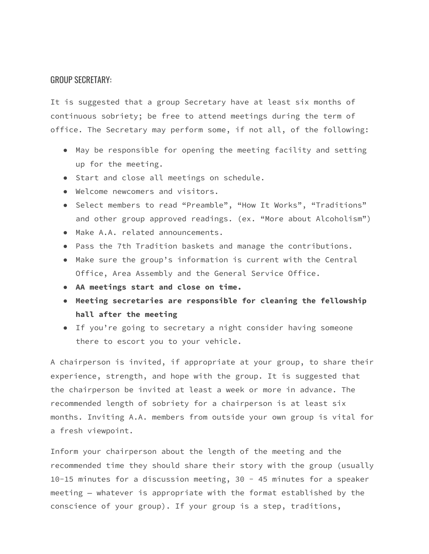#### GROUP SECRETARY:

It is suggested that a group Secretary have at least six months of continuous sobriety; be free to attend meetings during the term of office. The Secretary may perform some, if not all, of the following:

- May be responsible for opening the meeting facility and setting up for the meeting.
- Start and close all meetings on schedule.
- Welcome newcomers and visitors.
- Select members to read "Preamble", "How It Works", "Traditions" and other group approved readings. (ex. "More about Alcoholism")
- Make A.A. related announcements.
- Pass the 7th Tradition baskets and manage the contributions.
- Make sure the group's information is current with the Central Office, Area Assembly and the General Service Office.
- **AA meetings start and close on time.**
- **Meeting secretaries are responsible for cleaning the fellowship hall after the meeting**
- If you're going to secretary a night consider having someone there to escort you to your vehicle.

A chairperson is invited, if appropriate at your group, to share their experience, strength, and hope with the group. It is suggested that the chairperson be invited at least a week or more in advance. The recommended length of sobriety for a chairperson is at least six months. Inviting A.A. members from outside your own group is vital for a fresh viewpoint.

Inform your chairperson about the length of the meeting and the recommended time they should share their story with the group (usually 10-15 minutes for a discussion meeting, 30 - 45 minutes for a speaker meeting — whatever is appropriate with the format established by the conscience of your group). If your group is a step, traditions,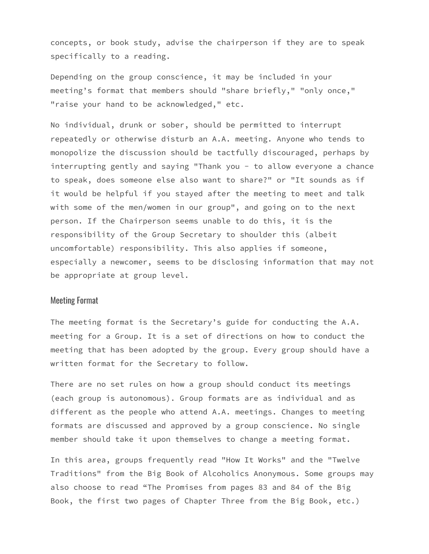concepts, or book study, advise the chairperson if they are to speak specifically to a reading.

Depending on the group conscience, it may be included in your meeting's format that members should "share briefly," "only once," "raise your hand to be acknowledged," etc.

No individual, drunk or sober, should be permitted to interrupt repeatedly or otherwise disturb an A.A. meeting. Anyone who tends to monopolize the discussion should be tactfully discouraged, perhaps by interrupting gently and saying "Thank you - to allow everyone a chance to speak, does someone else also want to share?" or "It sounds as if it would be helpful if you stayed after the meeting to meet and talk with some of the men/women in our group", and going on to the next person. If the Chairperson seems unable to do this, it is the responsibility of the Group Secretary to shoulder this (albeit uncomfortable) responsibility. This also applies if someone, especially a newcomer, seems to be disclosing information that may not be appropriate at group level.

# Meeting Format

The meeting format is the Secretary's guide for conducting the A.A. meeting for a Group. It is a set of directions on how to conduct the meeting that has been adopted by the group. Every group should have a written format for the Secretary to follow.

There are no set rules on how a group should conduct its meetings (each group is autonomous). Group formats are as individual and as different as the people who attend A.A. meetings. Changes to meeting formats are discussed and approved by a group conscience. No single member should take it upon themselves to change a meeting format.

In this area, groups frequently read "How It Works" and the "Twelve Traditions" from the Big Book of Alcoholics Anonymous. Some groups may also choose to read "The Promises from pages 83 and 84 of the Big Book, the first two pages of Chapter Three from the Big Book, etc.)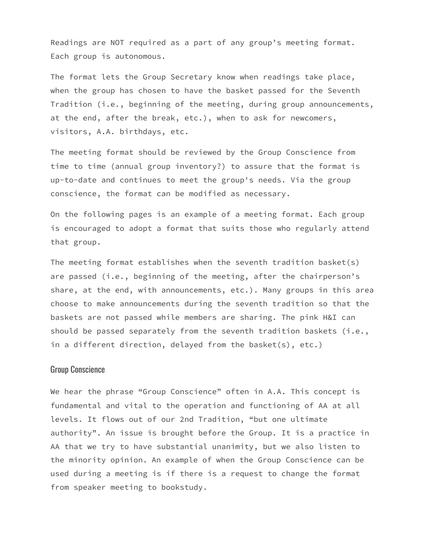Readings are NOT required as a part of any group's meeting format. Each group is autonomous.

The format lets the Group Secretary know when readings take place, when the group has chosen to have the basket passed for the Seventh Tradition (i.e., beginning of the meeting, during group announcements, at the end, after the break, etc.), when to ask for newcomers, visitors, A.A. birthdays, etc.

The meeting format should be reviewed by the Group Conscience from time to time (annual group inventory?) to assure that the format is up-to-date and continues to meet the group's needs. Via the group conscience, the format can be modified as necessary.

On the following pages is an example of a meeting format. Each group is encouraged to adopt a format that suits those who regularly attend that group.

The meeting format establishes when the seventh tradition basket(s) are passed (i.e., beginning of the meeting, after the chairperson's share, at the end, with announcements, etc.). Many groups in this area choose to make announcements during the seventh tradition so that the baskets are not passed while members are sharing. The pink H&I can should be passed separately from the seventh tradition baskets (i.e., in a different direction, delayed from the basket(s), etc.)

#### Group Conscience

We hear the phrase "Group Conscience" often in A.A. This concept is fundamental and vital to the operation and functioning of AA at all levels. It flows out of our 2nd Tradition, "but one ultimate authority". An issue is brought before the Group. It is a practice in AA that we try to have substantial unanimity, but we also listen to the minority opinion. An example of when the Group Conscience can be used during a meeting is if there is a request to change the format from speaker meeting to bookstudy.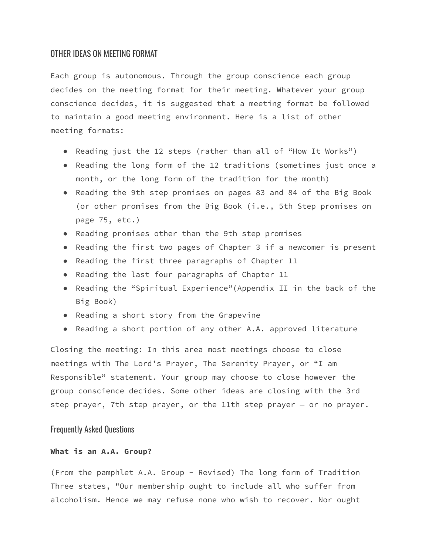### OTHER IDEAS ON MEETING FORMAT

Each group is autonomous. Through the group conscience each group decides on the meeting format for their meeting. Whatever your group conscience decides, it is suggested that a meeting format be followed to maintain a good meeting environment. Here is a list of other meeting formats:

- Reading just the 12 steps (rather than all of "How It Works")
- Reading the long form of the 12 traditions (sometimes just once a month, or the long form of the tradition for the month)
- Reading the 9th step promises on pages 83 and 84 of the Big Book (or other promises from the Big Book (i.e., 5th Step promises on page 75, etc.)
- Reading promises other than the 9th step promises
- Reading the first two pages of Chapter 3 if a newcomer is present
- Reading the first three paragraphs of Chapter 11
- Reading the last four paragraphs of Chapter 11
- Reading the "Spiritual Experience"(Appendix II in the back of the Big Book)
- Reading a short story from the Grapevine
- Reading a short portion of any other A.A. approved literature

Closing the meeting: In this area most meetings choose to close meetings with The Lord's Prayer, The Serenity Prayer, or "I am Responsible" statement. Your group may choose to close however the group conscience decides. Some other ideas are closing with the 3rd step prayer, 7th step prayer, or the 11th step prayer — or no prayer.

### Frequently Asked Questions

## **What is an A.A. Group?**

(From the pamphlet A.A. Group - Revised) The long form of Tradition Three states, "Our membership ought to include all who suffer from alcoholism. Hence we may refuse none who wish to recover. Nor ought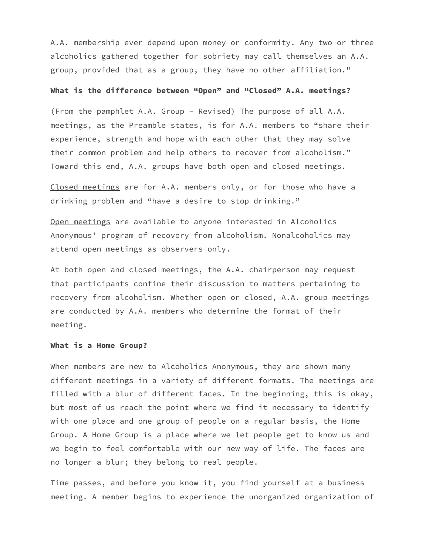A.A. membership ever depend upon money or conformity. Any two or three alcoholics gathered together for sobriety may call themselves an A.A. group, provided that as a group, they have no other affiliation."

#### **What is the difference between "Open" and "Closed" A.A. meetings?**

(From the pamphlet A.A. Group - Revised) The purpose of all A.A. meetings, as the Preamble states, is for A.A. members to "share their experience, strength and hope with each other that they may solve their common problem and help others to recover from alcoholism." Toward this end, A.A. groups have both open and closed meetings.

Closed meetings are for A.A. members only, or for those who have a drinking problem and "have a desire to stop drinking."

Open meetings are available to anyone interested in Alcoholics Anonymous' program of recovery from alcoholism. Nonalcoholics may attend open meetings as observers only.

At both open and closed meetings, the A.A. chairperson may request that participants confine their discussion to matters pertaining to recovery from alcoholism. Whether open or closed, A.A. group meetings are conducted by A.A. members who determine the format of their meeting.

#### **What is a Home Group?**

When members are new to Alcoholics Anonymous, they are shown many different meetings in a variety of different formats. The meetings are filled with a blur of different faces. In the beginning, this is okay, but most of us reach the point where we find it necessary to identify with one place and one group of people on a regular basis, the Home Group. A Home Group is a place where we let people get to know us and we begin to feel comfortable with our new way of life. The faces are no longer a blur; they belong to real people.

Time passes, and before you know it, you find yourself at a business meeting. A member begins to experience the unorganized organization of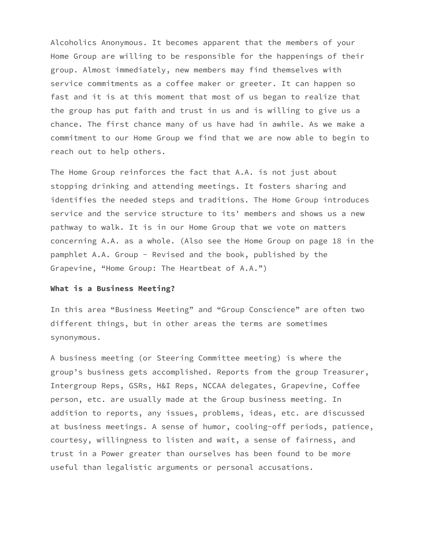Alcoholics Anonymous. It becomes apparent that the members of your Home Group are willing to be responsible for the happenings of their group. Almost immediately, new members may find themselves with service commitments as a coffee maker or greeter. It can happen so fast and it is at this moment that most of us began to realize that the group has put faith and trust in us and is willing to give us a chance. The first chance many of us have had in awhile. As we make a commitment to our Home Group we find that we are now able to begin to reach out to help others.

The Home Group reinforces the fact that A.A. is not just about stopping drinking and attending meetings. It fosters sharing and identifies the needed steps and traditions. The Home Group introduces service and the service structure to its' members and shows us a new pathway to walk. It is in our Home Group that we vote on matters concerning A.A. as a whole. (Also see the Home Group on page 18 in the pamphlet A.A. Group - Revised and the book, published by the Grapevine, "Home Group: The Heartbeat of A.A.")

#### **What is a Business Meeting?**

In this area "Business Meeting" and "Group Conscience" are often two different things, but in other areas the terms are sometimes synonymous.

A business meeting (or Steering Committee meeting) is where the group's business gets accomplished. Reports from the group Treasurer, Intergroup Reps, GSRs, H&I Reps, NCCAA delegates, Grapevine, Coffee person, etc. are usually made at the Group business meeting. In addition to reports, any issues, problems, ideas, etc. are discussed at business meetings. A sense of humor, cooling-off periods, patience, courtesy, willingness to listen and wait, a sense of fairness, and trust in a Power greater than ourselves has been found to be more useful than legalistic arguments or personal accusations.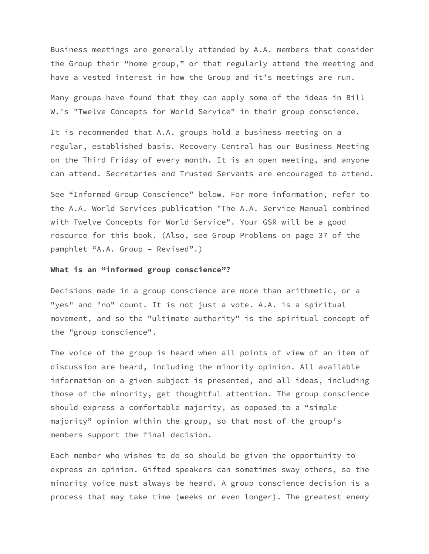Business meetings are generally attended by A.A. members that consider the Group their "home group," or that regularly attend the meeting and have a vested interest in how the Group and it's meetings are run.

Many groups have found that they can apply some of the ideas in Bill W.'s "Twelve Concepts for World Service" in their group conscience.

It is recommended that A.A. groups hold a business meeting on a regular, established basis. Recovery Central has our Business Meeting on the Third Friday of every month. It is an open meeting, and anyone can attend. Secretaries and Trusted Servants are encouraged to attend.

See "Informed Group Conscience" below. For more information, refer to the A.A. World Services publication "The A.A. Service Manual combined with Twelve Concepts for World Service". Your GSR will be a good resource for this book. (Also, see Group Problems on page 37 of the pamphlet "A.A. Group – Revised".)

#### **What is an "informed group conscience"?**

Decisions made in a group conscience are more than arithmetic, or a "yes" and "no" count. It is not just a vote. A.A. is a spiritual movement, and so the "ultimate authority" is the spiritual concept of the "group conscience".

The voice of the group is heard when all points of view of an item of discussion are heard, including the minority opinion. All available information on a given subject is presented, and all ideas, including those of the minority, get thoughtful attention. The group conscience should express a comfortable majority, as opposed to a "simple majority" opinion within the group, so that most of the group's members support the final decision.

Each member who wishes to do so should be given the opportunity to express an opinion. Gifted speakers can sometimes sway others, so the minority voice must always be heard. A group conscience decision is a process that may take time (weeks or even longer). The greatest enemy